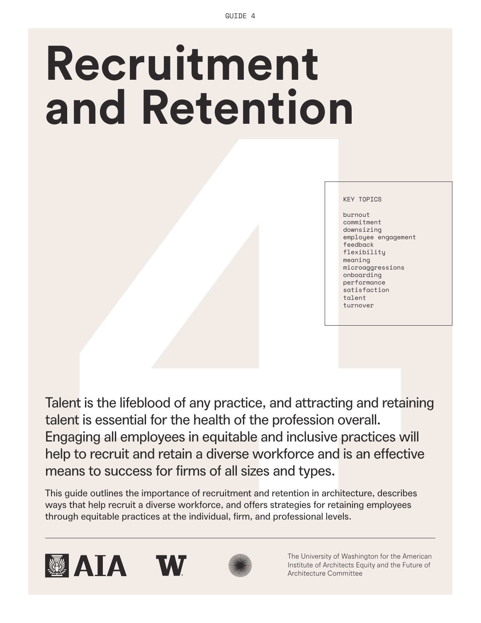# **Recruitment and Retention**

#### KEY TOPICS

burnout commitment downsizing employee engagement feedback flexibility meaning microaggressions onboarding performance satisfaction talent turnover

**Allen Control Control Control Control Control Control Control Control Control Control Control Control Control Control Control Control Control Control Control Control Control Control Control Control Control Control Control** Talent is the lifeblood of any practice, and attracting and retaining talent is essential for the health of the profession overall. Engaging all employees in equitable and inclusive practices will help to recruit and retain a diverse workforce and is an effective means to success for firms of all sizes and types.

This guide outlines the importance of recruitment and retention in architecture, describes ways that help recruit a diverse workforce, and offers strategies for retaining employees through equitable practices at the individual, firm, and professional levels.









The University of Washington for the American Institute of Architects Equity and the Future of Architecture Committee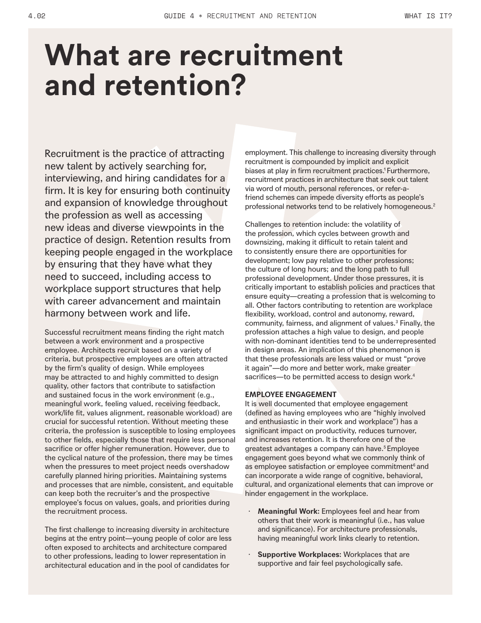## **What are recruitment and retention?**

Recruitment is the practice of attracting new talent by actively searching for, interviewing, and hiring candidates for a firm. It is key for ensuring both continuity and expansion of knowledge throughout the profession as well as accessing new ideas and diverse viewpoints in the practice of design. Retention results from keeping people engaged in the workplace by ensuring that they have what they need to succeed, including access to workplace support structures that help with career advancement and maintain harmony between work and life.

Successful recruitment means finding the right match between a work environment and a prospective employee. Architects recruit based on a variety of criteria, but prospective employees are often attracted by the firm's quality of design. While employees may be attracted to and highly committed to design quality, other factors that contribute to satisfaction and sustained focus in the work environment (e.g., meaningful work, feeling valued, receiving feedback, work/life fit, values alignment, reasonable workload) are crucial for successful retention. Without meeting these criteria, the profession is susceptible to losing employees to other fields, especially those that require less personal sacrifice or offer higher remuneration. However, due to the cyclical nature of the profession, there may be times when the pressures to meet project needs overshadow carefully planned hiring priorities. Maintaining systems and processes that are nimble, consistent, and equitable can keep both the recruiter's and the prospective employee's focus on values, goals, and priorities during the recruitment process.

The first challenge to increasing diversity in architecture begins at the entry point—young people of color are less often exposed to architects and architecture compared to other professions, leading to lower representation in architectural education and in the pool of candidates for

employment. This challenge to increasing diversity through recruitment is compounded by implicit and explicit biases at play in firm recruitment practices.<sup>1</sup> Furthermore, recruitment practices in architecture that seek out talent via word of mouth, personal references, or refer-afriend schemes can impede diversity efforts as people's professional networks tend to be relatively homogeneous.<sup>2</sup>

Challenges to retention include: the volatility of the profession, which cycles between growth and downsizing, making it difficult to retain talent and to consistently ensure there are opportunities for development; low pay relative to other professions; the culture of long hours; and the long path to full professional development. Under those pressures, it is critically important to establish policies and practices that ensure equity—creating a profession that is welcoming to all. Other factors contributing to retention are workplace flexibility, workload, control and autonomy, reward, community, fairness, and alignment of values.3 Finally, the profession attaches a high value to design, and people with non-dominant identities tend to be underrepresented in design areas. An implication of this phenomenon is that these professionals are less valued or must "prove it again"—do more and better work, make greater sacrifices—to be permitted access to design work.<sup>4</sup>

#### **EMPLOYEE ENGAGEMENT**

It is well documented that employee engagement (defined as having employees who are "highly involved and enthusiastic in their work and workplace") has a significant impact on productivity, reduces turnover, and increases retention. It is therefore one of the greatest advantages a company can have.<sup>5</sup> Employee engagement goes beyond what we commonly think of as employee satisfaction or employee commitment<sup>6</sup> and can incorporate a wide range of cognitive, behavioral, cultural, and organizational elements that can improve or hinder engagement in the workplace.

- **Meaningful Work:** Employees feel and hear from others that their work is meaningful (i.e., has value and significance). For architecture professionals, having meaningful work links clearly to retention.
- **Supportive Workplaces: Workplaces that are** supportive and fair feel psychologically safe.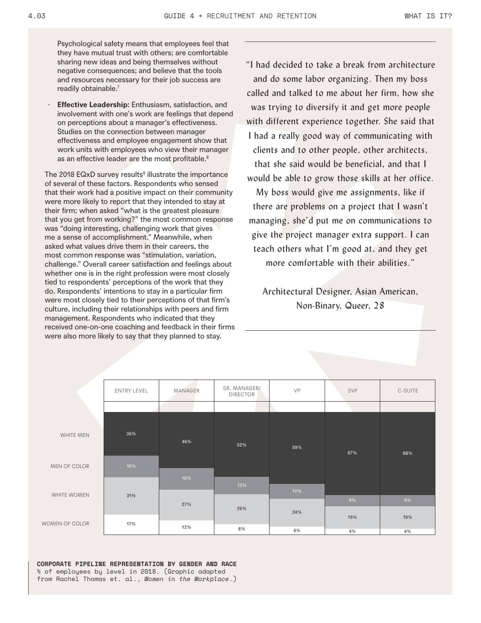Psychological safety means that employees feel that they have mutual trust with others; are comfortable sharing new ideas and being themselves without negative consequences; and believe that the tools and resources necessary for their job success are readily obtainable.<sup>7</sup>

· **Effective Leadership:** Enthusiasm, satisfaction, and involvement with one's work are feelings that depend on perceptions about a manager's effectiveness. Studies on the connection between manager effectiveness and employee engagement show that work units with employees who view their manager as an effective leader are the most profitable.<sup>8</sup>

The 2018 EQxD survey results<sup>9</sup> illustrate the importance of several of these factors. Respondents who sensed that their work had a positive impact on their community were more likely to report that they intended to stay at their firm; when asked "what is the greatest pleasure that you get from working?" the most common response was "doing interesting, challenging work that gives me a sense of accomplishment." Meanwhile, when asked what values drive them in their careers, the most common response was "stimulation, variation, challenge." Overall career satisfaction and feelings about whether one is in the right profession were most closely tied to respondents' perceptions of the work that they do. Respondents' intentions to stay in a particular firm were most closely tied to their perceptions of that firm's culture, including their relationships with peers and firm management. Respondents who indicated that they received one-on-one coaching and feedback in their firms were also more likely to say that they planned to stay.

"I had decided to take a break from architecture and do some labor organizing. Then my boss called and talked to me about her firm, how she was trying to diversify it and get more people with different experience together. She said that I had a really good way of communicating with clients and to other people, other architects, that she said would be beneficial, and that I would be able to grow those skills at her office.

My boss would give me assignments, like if there are problems on a project that I wasn't managing, she'd put me on communications to give the project manager extra support. I can teach others what I'm good at, and they get more comfortable with their abilities."

Architectural Designer, Asian American, Non-Binary, Queer, 28

|                | <b>ENTRY LEVEL</b> | MANAGER | SR. MANAGER/<br><b>DIRECTOR</b> | VP  | SVP | C-SUITE |
|----------------|--------------------|---------|---------------------------------|-----|-----|---------|
|                |                    |         |                                 |     |     |         |
| WHITE MEN      | 36%                | 46%     | 52%                             | 59% | 67% | 68%     |
| MEN OF COLOR   | 16%                |         |                                 |     |     |         |
|                |                    | 16%     |                                 |     |     |         |
| WHITE WOMEN    | 31%                |         | 13%                             | 12% |     |         |
|                |                    | 27%     | 26%                             |     | 9%  | 9%      |
| WOMEN OF COLOR |                    |         |                                 | 24% |     |         |
|                | 17%                |         |                                 |     | 19% | 19%     |
|                |                    | 12%     | 8%                              | 6%  | 4%  | 4%      |

**CORPORATE PIPELINE REPRESENTATION BY GENDER AND RACE** % of employees by level in 2018. (Graphic adapted from Rachel Thomas et. al., *Women in the Workplace*.)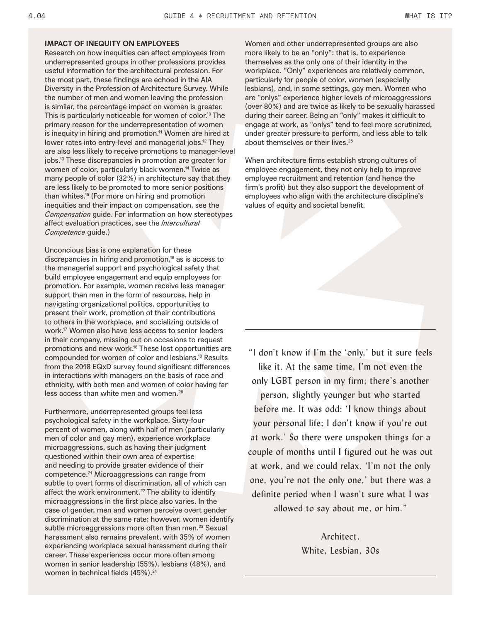#### **IMPACT OF INEQUITY ON EMPLOYEES**

Research on how inequities can affect employees from underrepresented groups in other professions provides useful information for the architectural profession. For the most part, these findings are echoed in the AIA Diversity in the Profession of Architecture Survey. While the number of men and women leaving the profession is similar, the percentage impact on women is greater. This is particularly noticeable for women of color.<sup>10</sup> The primary reason for the underrepresentation of women is inequity in hiring and promotion.<sup>11</sup> Women are hired at lower rates into entry-level and managerial jobs.<sup>12</sup> They are also less likely to receive promotions to manager-level jobs.13 These discrepancies in promotion are greater for women of color, particularly black women.<sup>14</sup> Twice as many people of color (32%) in architecture say that they are less likely to be promoted to more senior positions than whites.15 (For more on hiring and promotion inequities and their impact on compensation, see the *Compensation* guide. For information on how stereotypes affect evaluation practices, see the *Intercultural Competence* guide.)

Unconcious bias is one explanation for these discrepancies in hiring and promotion,<sup>16</sup> as is access to the managerial support and psychological safety that build employee engagement and equip employees for promotion. For example, women receive less manager support than men in the form of resources, help in navigating organizational politics, opportunities to present their work, promotion of their contributions to others in the workplace, and socializing outside of work.17 Women also have less access to senior leaders in their company, missing out on occasions to request promotions and new work.<sup>18</sup> These lost opportunities are compounded for women of color and lesbians.19 Results from the 2018 EQxD survey found significant differences in interactions with managers on the basis of race and ethnicity, with both men and women of color having far less access than white men and women.<sup>20</sup>

Furthermore, underrepresented groups feel less psychological safety in the workplace. Sixty-four percent of women, along with half of men (particularly men of color and gay men), experience workplace microaggressions, such as having their judgment questioned within their own area of expertise and needing to provide greater evidence of their competence.<sup>21</sup> Microaggressions can range from subtle to overt forms of discrimination, all of which can affect the work environment.<sup>22</sup> The ability to identify microaggressions in the first place also varies. In the case of gender, men and women perceive overt gender discrimination at the same rate; however, women identify subtle microaggressions more often than men.<sup>23</sup> Sexual harassment also remains prevalent, with 35% of women experiencing workplace sexual harassment during their career. These experiences occur more often among women in senior leadership (55%), lesbians (48%), and women in technical fields (45%).<sup>24</sup>

Women and other underrepresented groups are also more likely to be an "only": that is, to experience themselves as the only one of their identity in the workplace. "Only" experiences are relatively common, particularly for people of color, women (especially lesbians), and, in some settings, gay men. Women who are "onlys" experience higher levels of microaggressions (over 80%) and are twice as likely to be sexually harassed during their career. Being an "only" makes it difficult to engage at work, as "onlys" tend to feel more scrutinized, under greater pressure to perform, and less able to talk about themselves or their lives.<sup>25</sup>

When architecture firms establish strong cultures of employee engagement, they not only help to improve employee recruitment and retention (and hence the firm's profit) but they also support the development of employees who align with the architecture discipline's values of equity and societal benefit.

"I don't know if I'm the 'only,' but it sure feels like it. At the same time, I'm not even the only LGBT person in my firm; there's another person, slightly younger but who started before me. It was odd: 'I know things about your personal life; I don't know if you're out at work.' So there were unspoken things for a couple of months until I figured out he was out at work, and we could relax. 'I'm not the only one, you're not the only one,' but there was a definite period when I wasn't sure what I was allowed to say about me, or him."

> Architect, White, Lesbian, 30s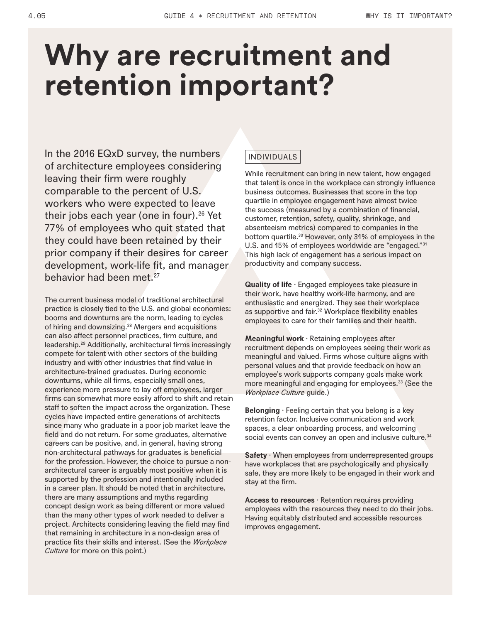## **Why are recruitment and retention important?**

In the 2016 EQxD survey, the numbers of architecture employees considering leaving their firm were roughly comparable to the percent of U.S. workers who were expected to leave their jobs each year (one in four).26 Yet 77% of employees who quit stated that they could have been retained by their prior company if their desires for career development, work-life fit, and manager behavior had been met.<sup>27</sup>

The current business model of traditional architectural practice is closely tied to the U.S. and global economies: booms and downturns are the norm, leading to cycles of hiring and downsizing.<sup>28</sup> Mergers and acquisitions can also affect personnel practices, firm culture, and leadership.29 Additionally, architectural firms increasingly compete for talent with other sectors of the building industry and with other industries that find value in architecture-trained graduates. During economic downturns, while all firms, especially small ones, experience more pressure to lay off employees, larger firms can somewhat more easily afford to shift and retain staff to soften the impact across the organization. These cycles have impacted entire generations of architects since many who graduate in a poor job market leave the field and do not return. For some graduates, alternative careers can be positive, and, in general, having strong non-architectural pathways for graduates is beneficial for the profession. However, the choice to pursue a nonarchitectural career is arguably most positive when it is supported by the profession and intentionally included in a career plan. It should be noted that in architecture, there are many assumptions and myths regarding concept design work as being different or more valued than the many other types of work needed to deliver a project. Architects considering leaving the field may find that remaining in architecture in a non-design area of practice fits their skills and interest. (See the *Workplace Culture* for more on this point.)

### INDIVIDUALS

While recruitment can bring in new talent, how engaged that talent is once in the workplace can strongly influence business outcomes. Businesses that score in the top quartile in employee engagement have almost twice the success (measured by a combination of financial, customer, retention, safety, quality, shrinkage, and absenteeism metrics) compared to companies in the bottom quartile.<sup>30</sup> However, only 31% of employees in the U.S. and 15% of employees worldwide are "engaged."31 This high lack of engagement has a serious impact on productivity and company success.

**Quality of life** · Engaged employees take pleasure in their work, have healthy work-life harmony, and are enthusiastic and energized. They see their workplace as supportive and fair.<sup>32</sup> Workplace flexibility enables employees to care for their families and their health.

**Meaningful work** · Retaining employees after recruitment depends on employees seeing their work as meaningful and valued. Firms whose culture aligns with personal values and that provide feedback on how an employee's work supports company goals make work more meaningful and engaging for employees.<sup>33</sup> (See the *Workplace Culture* guide.)

**Belonging** · Feeling certain that you belong is a key retention factor. Inclusive communication and work spaces, a clear onboarding process, and welcoming social events can convey an open and inclusive culture.<sup>34</sup>

**Safety** · When employees from underrepresented groups have workplaces that are psychologically and physically safe, they are more likely to be engaged in their work and stay at the firm.

**Access to resources** · Retention requires providing employees with the resources they need to do their jobs. Having equitably distributed and accessible resources improves engagement.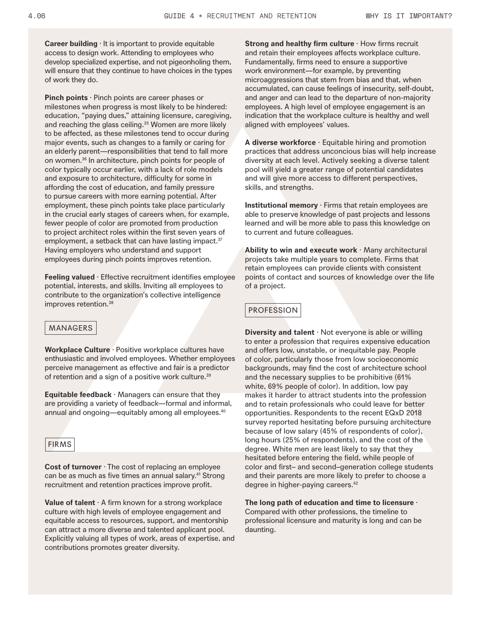**Career building** · It is important to provide equitable access to design work. Attending to employees who develop specialized expertise, and not pigeonholing them, will ensure that they continue to have choices in the types of work they do.

**Pinch points** · Pinch points are career phases or milestones when progress is most likely to be hindered: education, "paying dues," attaining licensure, caregiving, and reaching the glass ceiling.<sup>35</sup> Women are more likely to be affected, as these milestones tend to occur during major events, such as changes to a family or caring for an elderly parent—responsibilities that tend to fall more on women.36 In architecture, pinch points for people of color typically occur earlier, with a lack of role models and exposure to architecture, difficulty for some in affording the cost of education, and family pressure to pursue careers with more earning potential. After employment, these pinch points take place particularly in the crucial early stages of careers when, for example, fewer people of color are promoted from production to project architect roles within the first seven years of employment, a setback that can have lasting impact.<sup>37</sup> Having employers who understand and support employees during pinch points improves retention.

**Feeling valued** · Effective recruitment identifies employee potential, interests, and skills. Inviting all employees to contribute to the organization's collective intelligence improves retention.<sup>38</sup>

#### MANAGERS

**Workplace Culture** · Positive workplace cultures have enthusiastic and involved employees. Whether employees perceive management as effective and fair is a predictor of retention and a sign of a positive work culture.<sup>39</sup>

**Equitable feedback** · Managers can ensure that they are providing a variety of feedback—formal and informal, annual and ongoing—equitably among all employees.<sup>40</sup>



**Cost of turnover** · The cost of replacing an employee can be as much as five times an annual salary.<sup>41</sup> Strong recruitment and retention practices improve profit.

**Value of talent** · A firm known for a strong workplace culture with high levels of employee engagement and equitable access to resources, support, and mentorship can attract a more diverse and talented applicant pool. Explicitly valuing all types of work, areas of expertise, and contributions promotes greater diversity.

**Strong and healthy firm culture** · How firms recruit and retain their employees affects workplace culture. Fundamentally, firms need to ensure a supportive work environment—for example, by preventing microaggressions that stem from bias and that, when accumulated, can cause feelings of insecurity, self-doubt, and anger and can lead to the departure of non-majority employees. A high level of employee engagement is an indication that the workplace culture is healthy and well aligned with employees' values.

**A diverse workforce** · Equitable hiring and promotion practices that address unconcious bias will help increase diversity at each level. Actively seeking a diverse talent pool will yield a greater range of potential candidates and will give more access to different perspectives, skills, and strengths.

**Institutional memory** · Firms that retain employees are able to preserve knowledge of past projects and lessons learned and will be more able to pass this knowledge on to current and future colleagues.

**Ability to win and execute work** · Many architectural projects take multiple years to complete. Firms that retain employees can provide clients with consistent points of contact and sources of knowledge over the life of a project.

#### PROFESSION

**Diversity and talent** · Not everyone is able or willing to enter a profession that requires expensive education and offers low, unstable, or inequitable pay. People of color, particularly those from low socioeconomic backgrounds, may find the cost of architecture school and the necessary supplies to be prohibitive (61% white, 69% people of color). In addition, low pay makes it harder to attract students into the profession and to retain professionals who could leave for better opportunities. Respondents to the recent EQxD 2018 survey reported hesitating before pursuing architecture because of low salary (45% of respondents of color), long hours (25% of respondents), and the cost of the degree. White men are least likely to say that they hesitated before entering the field, while people of color and first– and second–generation college students and their parents are more likely to prefer to choose a degree in higher-paying careers.42

**The long path of education and time to licensure** · Compared with other professions, the timeline to professional licensure and maturity is long and can be daunting.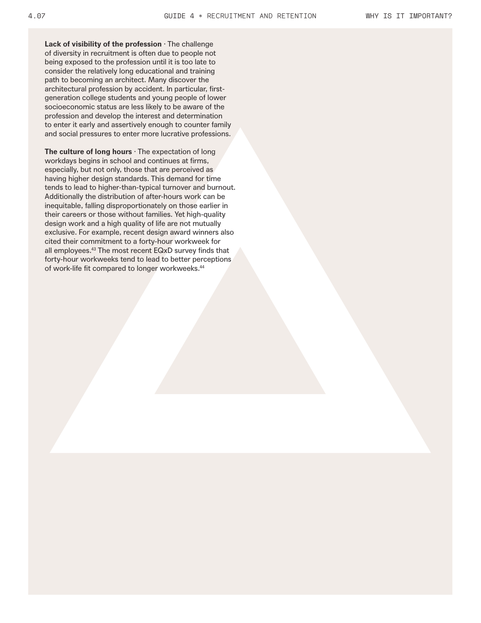**Lack of visibility of the profession** · The challenge of diversity in recruitment is often due to people not being exposed to the profession until it is too late to consider the relatively long educational and training path to becoming an architect. Many discover the architectural profession by accident. In particular, firstgeneration college students and young people of lower socioeconomic status are less likely to be aware of the profession and develop the interest and determination to enter it early and assertively enough to counter family and social pressures to enter more lucrative professions.

**The culture of long hours** · The expectation of long workdays begins in school and continues at firms, especially, but not only, those that are perceived as having higher design standards. This demand for time tends to lead to higher-than-typical turnover and burnout. Additionally the distribution of after-hours work can be inequitable, falling disproportionately on those earlier in their careers or those without families. Yet high-quality design work and a high quality of life are not mutually exclusive. For example, recent design award winners also cited their commitment to a forty-hour workweek for all employees.43 The most recent EQxD survey finds that forty-hour workweeks tend to lead to better perceptions of work-life fit compared to longer workweeks.<sup>44</sup>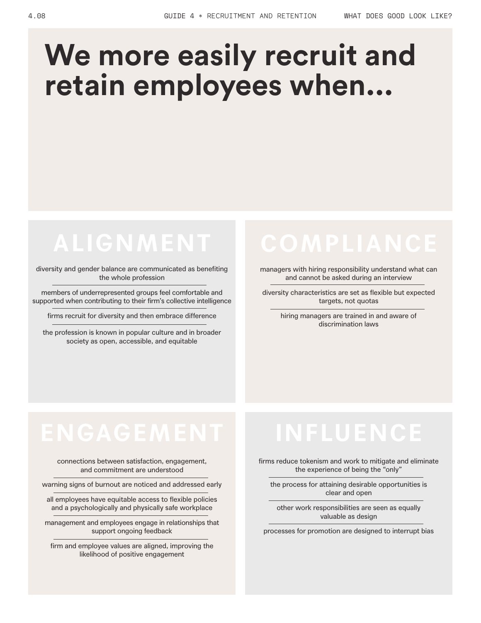## **We more easily recruit and retain employees when...**

### **ALIGNMENT**

diversity and gender balance are communicated as benefiting the whole profession

members of underrepresented groups feel comfortable and supported when contributing to their firm's collective intelligence

firms recruit for diversity and then embrace difference

the profession is known in popular culture and in broader society as open, accessible, and equitable

managers with hiring responsibility understand what can and cannot be asked during an interview

diversity characteristics are set as flexible but expected targets, not quotas

hiring managers are trained in and aware of discrimination laws

connections between satisfaction, engagement, and commitment are understood

warning signs of burnout are noticed and addressed early

all employees have equitable access to flexible policies and a psychologically and physically safe workplace

management and employees engage in relationships that support ongoing feedback

firm and employee values are aligned, improving the likelihood of positive engagement

firms reduce tokenism and work to mitigate and eliminate the experience of being the "only"

the process for attaining desirable opportunities is clear and open

other work responsibilities are seen as equally valuable as design

processes for promotion are designed to interrupt bias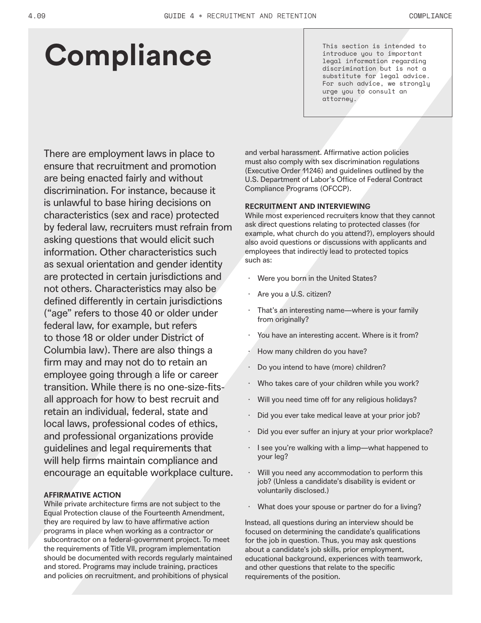## **Compliance**

This section is intended to introduce you to important legal information regarding discrimination but is not a substitute for legal advice. For such advice, we strongly urge you to consult an attorney.

There are employment laws in place to ensure that recruitment and promotion are being enacted fairly and without discrimination. For instance, because it is unlawful to base hiring decisions on characteristics (sex and race) protected by federal law, recruiters must refrain from asking questions that would elicit such information. Other characteristics such as sexual orientation and gender identity are protected in certain jurisdictions and not others. Characteristics may also be defined differently in certain jurisdictions ("age" refers to those 40 or older under federal law, for example, but refers to those 18 or older under District of Columbia law). There are also things a firm may and may not do to retain an employee going through a life or career transition. While there is no one-size-fitsall approach for how to best recruit and retain an individual, federal, state and local laws, professional codes of ethics, and professional organizations provide guidelines and legal requirements that will help firms maintain compliance and encourage an equitable workplace culture.

#### **AFFIRMATIVE ACTION**

While private architecture firms are not subject to the Equal Protection clause of the Fourteenth Amendment, they are required by law to have affirmative action programs in place when working as a contractor or subcontractor on a federal-government project. To meet the requirements of Title VII, program implementation should be documented with records regularly maintained and stored. Programs may include training, practices and policies on recruitment, and prohibitions of physical

and verbal harassment. Affirmative action policies must also comply with sex discrimination regulations (Executive Order 11246) and guidelines outlined by the U.S. Department of Labor's Office of Federal Contract Compliance Programs (OFCCP).

#### **RECRUITMENT AND INTERVIEWING**

While most experienced recruiters know that they cannot ask direct questions relating to protected classes (for example, what church do you attend?), employers should also avoid questions or discussions with applicants and employees that indirectly lead to protected topics such as:

- Were you born in the United States?
- Are you a U.S. citizen?
- That's an interesting name—where is your family from originally?
- You have an interesting accent. Where is it from?
- · How many children do you have?
- Do you intend to have (more) children?
- Who takes care of your children while you work?
- Will you need time off for any religious holidays?
- Did you ever take medical leave at your prior job?
- Did you ever suffer an injury at your prior workplace?
- · I see you're walking with a limp—what happened to your leg?
- Will you need any accommodation to perform this job? (Unless a candidate's disability is evident or voluntarily disclosed.)
- What does your spouse or partner do for a living?

Instead, all questions during an interview should be focused on determining the candidate's qualifications for the job in question. Thus, you may ask questions about a candidate's job skills, prior employment, educational background, experiences with teamwork, and other questions that relate to the specific requirements of the position.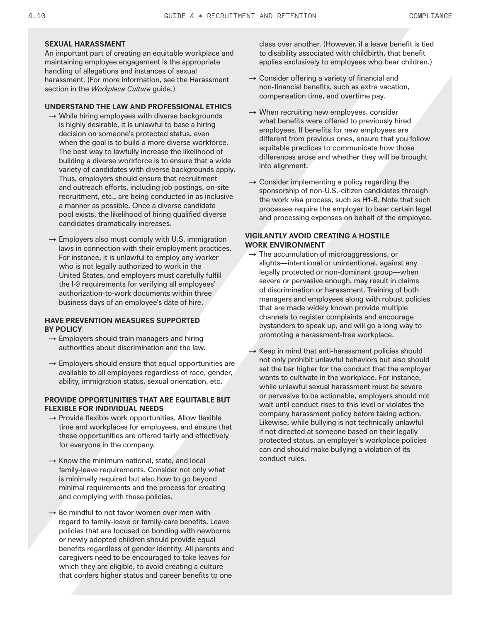#### **SEXUAL HARASSMENT**

An important part of creating an equitable workplace and maintaining employee engagement is the appropriate handling of allegations and instances of sexual harassment. (For more information, see the Harassment section in the *Workplace Culture* guide.)

#### **UNDERSTAND THE LAW AND PROFESSIONAL ETHICS**

- $\rightarrow$  While hiring employees with diverse backgrounds is highly desirable, it is unlawful to base a hiring decision on someone's protected status, even when the goal is to build a more diverse workforce. The best way to lawfully increase the likelihood of building a diverse workforce is to ensure that a wide variety of candidates with diverse backgrounds apply. Thus, employers should ensure that recruitment and outreach efforts, including job postings, on-site recruitment, etc., are being conducted in as inclusive a manner as possible. Once a diverse candidate pool exists, the likelihood of hiring qualified diverse candidates dramatically increases.
- $\rightarrow$  Employers also must comply with U.S. immigration laws in connection with their employment practices. For instance, it is unlawful to employ any worker who is not legally authorized to work in the United States, and employers must carefully fulfill the I-9 requirements for verifying all employees' authorization-to-work documents within three business days of an employee's date of hire.

#### **HAVE PREVENTION MEASURES SUPPORTED BY POLICY**

- $\rightarrow$  Employers should train managers and hiring authorities about discrimination and the law.
- $\rightarrow$  Employers should ensure that equal opportunities are available to all employees regardless of race, gender, ability, immigration status, sexual orientation, etc.

#### **PROVIDE OPPORTUNITIES THAT ARE EQUITABLE BUT FLEXIBLE FOR INDIVIDUAL NEEDS**

- $\rightarrow$  Provide flexible work opportunities. Allow flexible time and workplaces for employees, and ensure that these opportunities are offered fairly and effectively for everyone in the company.
- $\rightarrow$  Know the minimum national, state, and local family-leave requirements. Consider not only what is minimally required but also how to go beyond minimal requirements and the process for creating and complying with these policies.
- $\rightarrow$  Be mindful to not favor women over men with regard to family-leave or family-care benefits. Leave policies that are focused on bonding with newborns or newly adopted children should provide equal benefits regardless of gender identity. All parents and caregivers need to be encouraged to take leaves for which they are eligible, to avoid creating a culture that confers higher status and career benefits to one

class over another. (However, if a leave benefit is tied to disability associated with childbirth, that benefit applies exclusively to employees who bear children.)

- $\rightarrow$  Consider offering a variety of financial and non-financial benefits, such as extra vacation, compensation time, and overtime pay.
- $\rightarrow$  When recruiting new employees, consider what benefits were offered to previously hired employees. If benefits for new employees are different from previous ones, ensure that you follow equitable practices to communicate how those differences arose and whether they will be brought into alignment.
- $\rightarrow$  Consider implementing a policy regarding the sponsorship of non-U.S.-citizen candidates through the work visa process, such as H1-B. Note that such processes require the employer to bear certain legal and processing expenses on behalf of the employee.

#### **VIGILANTLY AVOID CREATING A HOSTILE WORK ENVIRONMENT**

- $\rightarrow$  The accumulation of microaggressions, or slights—intentional or unintentional, against any legally protected or non-dominant group—when severe or pervasive enough, may result in claims of discrimination or harassment. Training of both managers and employees along with robust policies that are made widely known provide multiple channels to register complaints and encourage bystanders to speak up, and will go a long way to promoting a harassment-free workplace.
- $\rightarrow$  Keep in mind that anti-harassment policies should not only prohibit unlawful behaviors but also should set the bar higher for the conduct that the employer wants to cultivate in the workplace. For instance, while unlawful sexual harassment must be severe or pervasive to be actionable, employers should not wait until conduct rises to this level or violates the company harassment policy before taking action. Likewise, while bullying is not technically unlawful if not directed at someone based on their legally protected status, an employer's workplace policies can and should make bullying a violation of its conduct rules.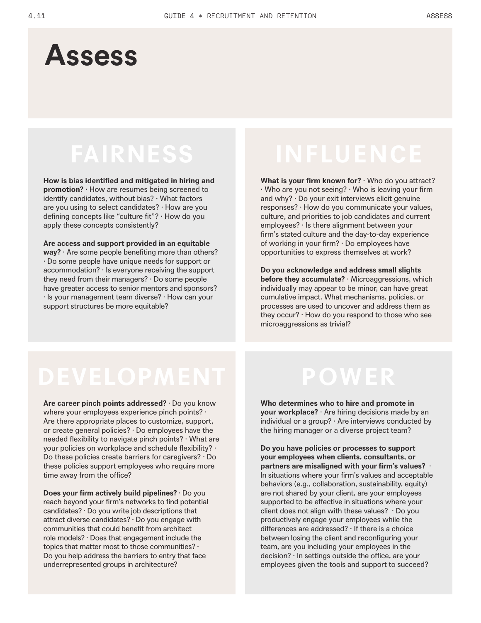### **Assess**

### **FAIRNESS**

**How is bias identified and mitigated in hiring and promotion?** · How are resumes being screened to identify candidates, without bias? · What factors are you using to select candidates? · How are you defining concepts like "culture fit"? · How do you apply these concepts consistently?

**Are access and support provided in an equitable way?** · Are some people benefiting more than others? · Do some people have unique needs for support or accommodation? · Is everyone receiving the support they need from their managers? · Do some people have greater access to senior mentors and sponsors? · Is your management team diverse? · How can your support structures be more equitable?

**What is your firm known for?** · Who do you attract? · Who are you not seeing? · Who is leaving your firm and why? · Do your exit interviews elicit genuine responses? · How do you communicate your values, culture, and priorities to job candidates and current employees? · Is there alignment between your firm's stated culture and the day-to-day experience of working in your firm? · Do employees have opportunities to express themselves at work?

**Do you acknowledge and address small slights before they accumulate?** · Microaggressions, which individually may appear to be minor, can have great cumulative impact. What mechanisms, policies, or processes are used to uncover and address them as they occur? · How do you respond to those who see microaggressions as trivial?

### **DEVELOPMENT POWER**

**Are career pinch points addressed?** · Do you know where your employees experience pinch points? · Are there appropriate places to customize, support, or create general policies? · Do employees have the needed flexibility to navigate pinch points? · What are your policies on workplace and schedule flexibility? · Do these policies create barriers for caregivers? · Do these policies support employees who require more time away from the office?

**Does your firm actively build pipelines?** · Do you reach beyond your firm's networks to find potential candidates? · Do you write job descriptions that attract diverse candidates? · Do you engage with communities that could benefit from architect role models? · Does that engagement include the topics that matter most to those communities? · Do you help address the barriers to entry that face underrepresented groups in architecture?

**Who determines who to hire and promote in your workplace?** · Are hiring decisions made by an individual or a group? · Are interviews conducted by the hiring manager or a diverse project team?

**Do you have policies or processes to support your employees when clients, consultants, or partners are misaligned with your firm's values?** · In situations where your firm's values and acceptable behaviors (e.g., collaboration, sustainability, equity) are not shared by your client, are your employees supported to be effective in situations where your client does not align with these values?  $\cdot$  Do you productively engage your employees while the differences are addressed? · If there is a choice between losing the client and reconfiguring your team, are you including your employees in the decision? · In settings outside the office, are your employees given the tools and support to succeed?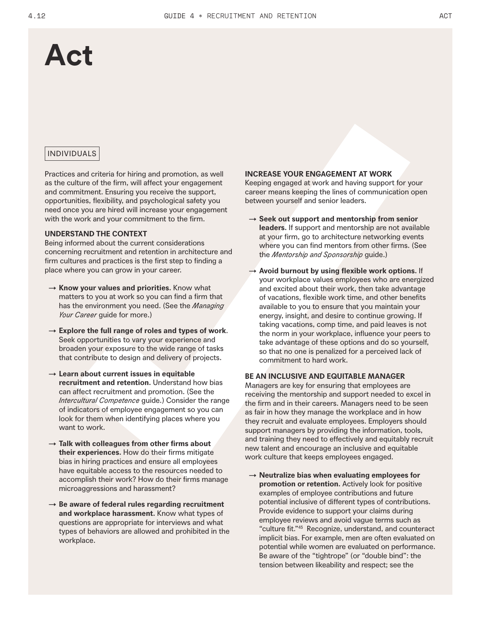### **Act**

#### INDIVIDUALS

Practices and criteria for hiring and promotion, as well as the culture of the firm, will affect your engagement and commitment. Ensuring you receive the support, opportunities, flexibility, and psychological safety you need once you are hired will increase your engagement with the work and your commitment to the firm.

#### **UNDERSTAND THE CONTEXT**

Being informed about the current considerations concerning recruitment and retention in architecture and firm cultures and practices is the first step to finding a place where you can grow in your career.

- → **Know your values and priorities.** Know what matters to you at work so you can find a firm that has the environment you need. (See the *Managing Your Career* guide for more.)
- → **Explore the full range of roles and types of work**. Seek opportunities to vary your experience and broaden your exposure to the wide range of tasks that contribute to design and delivery of projects.
- → **Learn about current issues in equitable recruitment and retention.** Understand how bias can affect recruitment and promotion. (See the *Intercultural Competence* guide.) Consider the range of indicators of employee engagement so you can look for them when identifying places where you want to work.
- → **Talk with colleagues from other firms about their experiences.** How do their firms mitigate bias in hiring practices and ensure all employees have equitable access to the resources needed to accomplish their work? How do their firms manage microaggressions and harassment?
- → **Be aware of federal rules regarding recruitment and workplace harassment.** Know what types of questions are appropriate for interviews and what types of behaviors are allowed and prohibited in the workplace.

#### **INCREASE YOUR ENGAGEMENT AT WORK**

Keeping engaged at work and having support for your career means keeping the lines of communication open between yourself and senior leaders.

- → **Seek out support and mentorship from senior leaders.** If support and mentorship are not available at your firm, go to architecture networking events where you can find mentors from other firms. (See the *Mentorship and Sponsorship* guide.)
- → **Avoid burnout by using flexible work options.** If your workplace values employees who are energized and excited about their work, then take advantage of vacations, flexible work time, and other benefits available to you to ensure that you maintain your energy, insight, and desire to continue growing. If taking vacations, comp time, and paid leaves is not the norm in your workplace, influence your peers to take advantage of these options and do so yourself, so that no one is penalized for a perceived lack of commitment to hard work.

#### **BE AN INCLUSIVE AND EQUITABLE MANAGER**

Managers are key for ensuring that employees are receiving the mentorship and support needed to excel in the firm and in their careers. Managers need to be seen as fair in how they manage the workplace and in how they recruit and evaluate employees. Employers should support managers by providing the information, tools, and training they need to effectively and equitably recruit new talent and encourage an inclusive and equitable work culture that keeps employees engaged.

→ **Neutralize bias when evaluating employees for promotion or retention.** Actively look for positive examples of employee contributions and future potential inclusive of different types of contributions. Provide evidence to support your claims during employee reviews and avoid vague terms such as "culture fit."45 Recognize, understand, and counteract implicit bias. For example, men are often evaluated on potential while women are evaluated on performance. Be aware of the "tightrope" (or "double bind": the tension between likeability and respect; see the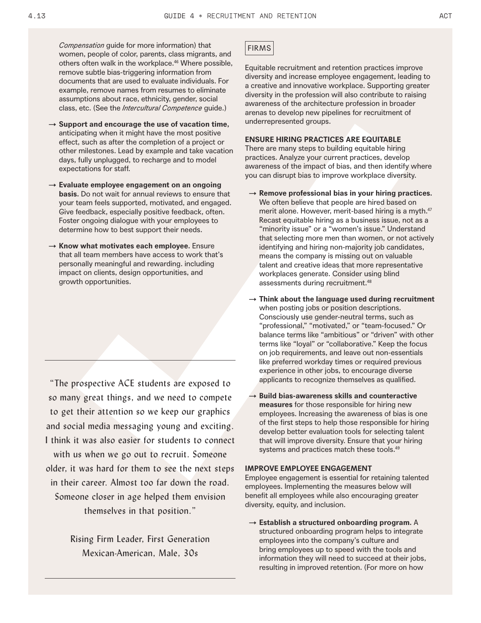*Compensation* guide for more information) that women, people of color, parents, class migrants, and others often walk in the workplace.<sup>46</sup> Where possible, remove subtle bias-triggering information from documents that are used to evaluate individuals. For example, remove names from resumes to eliminate assumptions about race, ethnicity, gender, social class, etc. (See the *Intercultural Competence* guide.)

- → **Support and encourage the use of vacation time,**  anticipating when it might have the most positive effect, such as after the completion of a project or other milestones. Lead by example and take vacation days, fully unplugged, to recharge and to model expectations for staff.
- → **Evaluate employee engagement on an ongoing basis.** Do not wait for annual reviews to ensure that your team feels supported, motivated, and engaged. Give feedback, especially positive feedback, often. Foster ongoing dialogue with your employees to determine how to best support their needs.
- → **Know what motivates each employee.** Ensure that all team members have access to work that's personally meaningful and rewarding. including impact on clients, design opportunities, and growth opportunities.

"The prospective ACE students are exposed to so many great things, and we need to compete to get their attention so we keep our graphics and social media messaging young and exciting. I think it was also easier for students to connect with us when we go out to recruit. Someone older, it was hard for them to see the next steps in their career. Almost too far down the road. Someone closer in age helped them envision themselves in that position."

> Rising Firm Leader, First Generation Mexican-American, Male, 30s

#### FIRMS

Equitable recruitment and retention practices improve diversity and increase employee engagement, leading to a creative and innovative workplace. Supporting greater diversity in the profession will also contribute to raising awareness of the architecture profession in broader arenas to develop new pipelines for recruitment of underrepresented groups.

#### **ENSURE HIRING PRACTICES ARE EQUITABLE**

There are many steps to building equitable hiring practices. Analyze your current practices, develop awareness of the impact of bias, and then identify where you can disrupt bias to improve workplace diversity.

- → **Remove professional bias in your hiring practices.** We often believe that people are hired based on merit alone. However, merit-based hiring is a myth.<sup>47</sup> Recast equitable hiring as a business issue, not as a "minority issue" or a "women's issue." Understand that selecting more men than women, or not actively identifying and hiring non-majority job candidates, means the company is missing out on valuable talent and creative ideas that more representative workplaces generate. Consider using blind assessments during recruitment.48
- → **Think about the language used during recruitment**  when posting jobs or position descriptions. Consciously use gender-neutral terms, such as "professional," "motivated," or "team-focused." Or balance terms like "ambitious" or "driven" with other terms like "loyal" or "collaborative." Keep the focus on job requirements, and leave out non-essentials like preferred workday times or required previous experience in other jobs, to encourage diverse applicants to recognize themselves as qualified.
- → **Build bias-awareness skills and counteractive measures** for those responsible for hiring new employees. Increasing the awareness of bias is one of the first steps to help those responsible for hiring develop better evaluation tools for selecting talent that will improve diversity. Ensure that your hiring systems and practices match these tools.<sup>49</sup>

#### **IMPROVE EMPLOYEE ENGAGEMENT**

Employee engagement is essential for retaining talented employees. Implementing the measures below will benefit all employees while also encouraging greater diversity, equity, and inclusion.

→ **Establish a structured onboarding program.** A structured onboarding program helps to integrate employees into the company's culture and bring employees up to speed with the tools and information they will need to succeed at their jobs, resulting in improved retention. (For more on how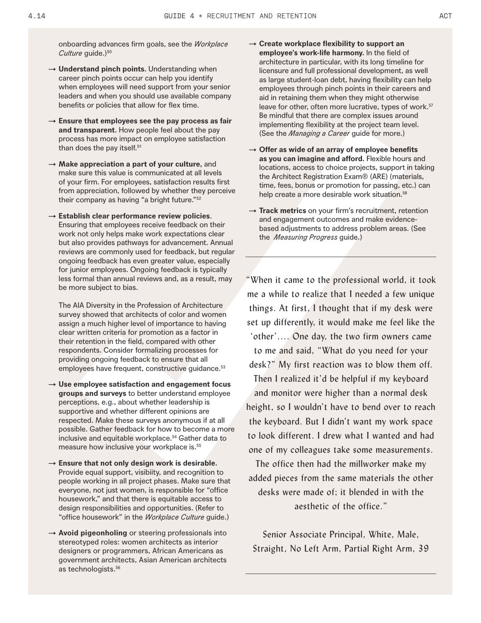onboarding advances firm goals, see the *Workplace Culture* quide.)<sup>50</sup>

- → **Understand pinch points.** Understanding when career pinch points occur can help you identify when employees will need support from your senior leaders and when you should use available company benefits or policies that allow for flex time.
- → **Ensure that employees see the pay process as fair and transparent.** How people feel about the pay process has more impact on employee satisfaction than does the pay itself.<sup>51</sup>
- → **Make appreciation a part of your culture,** and make sure this value is communicated at all levels of your firm. For employees, satisfaction results first from appreciation, followed by whether they perceive their company as having "a bright future."52
- → **Establish clear performance review policies**. Ensuring that employees receive feedback on their work not only helps make work expectations clear but also provides pathways for advancement. Annual reviews are commonly used for feedback, but regular ongoing feedback has even greater value, especially for junior employees. Ongoing feedback is typically less formal than annual reviews and, as a result, may be more subject to bias.

The AIA Diversity in the Profession of Architecture survey showed that architects of color and women assign a much higher level of importance to having clear written criteria for promotion as a factor in their retention in the field, compared with other respondents. Consider formalizing processes for providing ongoing feedback to ensure that all employees have frequent, constructive guidance.<sup>53</sup>

- → **Use employee satisfaction and engagement focus groups and surveys** to better understand employee perceptions, e.g., about whether leadership is supportive and whether different opinions are respected. Make these surveys anonymous if at all possible. Gather feedback for how to become a more inclusive and equitable workplace.<sup>54</sup> Gather data to measure how inclusive your workplace is.55
- → **Ensure that not only design work is desirable.**  Provide equal support, visibiity, and recognition to people working in all project phases. Make sure that everyone, not just women, is responsible for "office housework," and that there is equitable access to design responsibilities and opportunities. (Refer to "office housework" in the *Workplace Culture* guide.)
- → **Avoid pigeonholing** or steering professionals into stereotyped roles: women architects as interior designers or programmers, African Americans as government architects, Asian American architects as technologists.<sup>56</sup>
- → **Create workplace flexibility to support an employee's work-life harmony.** In the field of architecture in particular, with its long timeline for licensure and full professional development, as well as large student-loan debt, having flexibility can help employees through pinch points in their careers and aid in retaining them when they might otherwise leave for other, often more lucrative, types of work.<sup>57</sup> Be mindful that there are complex issues around implementing flexibility at the project team level. (See the *Managing a Career* guide for more.)
- → **Offer as wide of an array of employee benefits as you can imagine and afford.** Flexible hours and locations, access to choice projects, support in taking the Architect Registration Exam® (ARE) (materials, time, fees, bonus or promotion for passing, etc.) can help create a more desirable work situation.<sup>58</sup>
- → **Track metrics** on your firm's recruitment, retention and engagement outcomes and make evidencebased adjustments to address problem areas. (See the *Measuring Progress* guide.)

"When it came to the professional world, it took me a while to realize that I needed a few unique things. At first, I thought that if my desk were set up differently, it would make me feel like the 'other'…. One day, the two firm owners came to me and said, "What do you need for your desk?" My first reaction was to blow them off. Then I realized it'd be helpful if my keyboard and monitor were higher than a normal desk height, so I wouldn't have to bend over to reach the keyboard. But I didn't want my work space to look different. I drew what I wanted and had one of my colleagues take some measurements.

The office then had the millworker make my added pieces from the same materials the other desks were made of; it blended in with the aesthetic of the office."

Senior Associate Principal, White, Male, Straight, No Left Arm, Partial Right Arm, 39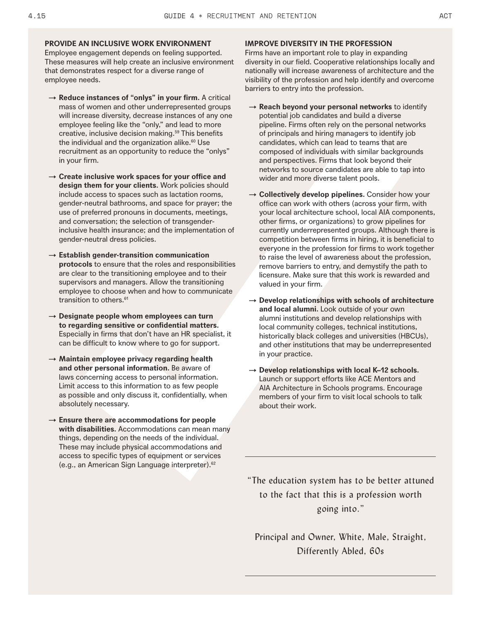#### **PROVIDE AN INCLUSIVE WORK ENVIRONMENT**

Employee engagement depends on feeling supported. These measures will help create an inclusive environment that demonstrates respect for a diverse range of employee needs.

- → **Reduce instances of "onlys" in your firm.** A critical mass of women and other underrepresented groups will increase diversity, decrease instances of any one employee feeling like the "only," and lead to more creative, inclusive decision making.<sup>59</sup> This benefits the individual and the organization alike.<sup>60</sup> Use recruitment as an opportunity to reduce the "onlys" in your firm.
- → **Create inclusive work spaces for your office and design them for your clients.** Work policies should include access to spaces such as lactation rooms, gender-neutral bathrooms, and space for prayer; the use of preferred pronouns in documents, meetings, and conversation; the selection of transgenderinclusive health insurance; and the implementation of gender-neutral dress policies.
- → **Establish gender-transition communication protocols** to ensure that the roles and responsibilities are clear to the transitioning employee and to their supervisors and managers. Allow the transitioning employee to choose when and how to communicate transition to others.<sup>61</sup>
- → **Designate people whom employees can turn to regarding sensitive or confidential matters.** Especially in firms that don't have an HR specialist, it can be difficult to know where to go for support.
- → **Maintain employee privacy regarding health and other personal information.** Be aware of laws concerning access to personal information. Limit access to this information to as few people as possible and only discuss it, confidentially, when absolutely necessary.
- → **Ensure there are accommodations for people with disabilities.** Accommodations can mean many things, depending on the needs of the individual. These may include physical accommodations and access to specific types of equipment or services (e.g., an American Sign Language interpreter).62

#### **IMPROVE DIVERSITY IN THE PROFESSION**

Firms have an important role to play in expanding diversity in our field. Cooperative relationships locally and nationally will increase awareness of architecture and the visibility of the profession and help identify and overcome barriers to entry into the profession.

- → **Reach beyond your personal networks** to identify potential job candidates and build a diverse pipeline. Firms often rely on the personal networks of principals and hiring managers to identify job candidates, which can lead to teams that are composed of individuals with similar backgrounds and perspectives. Firms that look beyond their networks to source candidates are able to tap into wider and more diverse talent pools.
- → **Collectively develop pipelines.** Consider how your office can work with others (across your firm, with your local architecture school, local AIA components, other firms, or organizations) to grow pipelines for currently underrepresented groups. Although there is competition between firms in hiring, it is beneficial to everyone in the profession for firms to work together to raise the level of awareness about the profession, remove barriers to entry, and demystify the path to licensure. Make sure that this work is rewarded and valued in your firm.
- → **Develop relationships with schools of architecture and local alumni.** Look outside of your own alumni institutions and develop relationships with local community colleges, technical institutions, historically black colleges and universities (HBCUs), and other institutions that may be underrepresented in your practice.
- → **Develop relationships with local K–12 schools.**  Launch or support efforts like ACE Mentors and AIA Architecture in Schools programs. Encourage members of your firm to visit local schools to talk about their work.

"The education system has to be better attuned to the fact that this is a profession worth going into."

Principal and Owner, White, Male, Straight, Differently Abled, 60s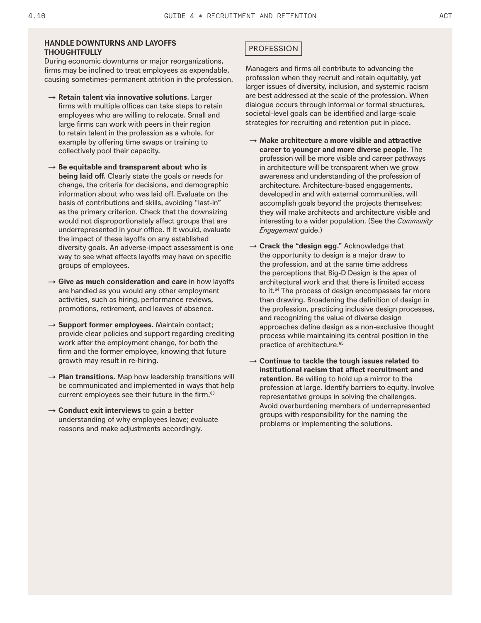#### **HANDLE DOWNTURNS AND LAYOFFS THOUGHTFULLY**

During economic downturns or major reorganizations, firms may be inclined to treat employees as expendable, causing sometimes-permanent attrition in the profession.

- → **Retain talent via innovative solutions.** Larger firms with multiple offices can take steps to retain employees who are willing to relocate. Small and large firms can work with peers in their region to retain talent in the profession as a whole, for example by offering time swaps or training to collectively pool their capacity.
- → **Be equitable and transparent about who is being laid off.** Clearly state the goals or needs for change, the criteria for decisions, and demographic information about who was laid off. Evaluate on the basis of contributions and skills, avoiding "last-in" as the primary criterion. Check that the downsizing would not disproportionately affect groups that are underrepresented in your office. If it would, evaluate the impact of these layoffs on any established diversity goals. An adverse-impact assessment is one way to see what effects layoffs may have on specific groups of employees.
- → **Give as much consideration and care** in how layoffs are handled as you would any other employment activities, such as hiring, performance reviews, promotions, retirement, and leaves of absence.
- → **Support former employees.** Maintain contact; provide clear policies and support regarding crediting work after the employment change, for both the firm and the former employee, knowing that future growth may result in re-hiring.
- → **Plan transitions.** Map how leadership transitions will be communicated and implemented in ways that help current employees see their future in the firm.<sup>63</sup>
- → **Conduct exit interviews** to gain a better understanding of why employees leave; evaluate reasons and make adjustments accordingly.

#### PROFESSION

Managers and firms all contribute to advancing the profession when they recruit and retain equitably, yet larger issues of diversity, inclusion, and systemic racism are best addressed at the scale of the profession. When dialogue occurs through informal or formal structures, societal-level goals can be identified and large-scale strategies for recruiting and retention put in place.

- → **Make architecture a more visible and attractive career to younger and more diverse people.** The profession will be more visible and career pathways in architecture will be transparent when we grow awareness and understanding of the profession of architecture. Architecture-based engagements, developed in and with external communities, will accomplish goals beyond the projects themselves; they will make architects and architecture visible and interesting to a wider population. (See the *Community Engagement* guide.)
- → **Crack the "design egg."** Acknowledge that the opportunity to design is a major draw to the profession, and at the same time address the perceptions that Big-D Design is the apex of architectural work and that there is limited access to it.<sup>64</sup> The process of design encompasses far more than drawing. Broadening the definition of design in the profession, practicing inclusive design processes, and recognizing the value of diverse design approaches define design as a non-exclusive thought process while maintaining its central position in the practice of architecture.<sup>65</sup>
- → **Continue to tackle the tough issues related to institutional racism that affect recruitment and retention.** Be willing to hold up a mirror to the profession at large. Identify barriers to equity. Involve representative groups in solving the challenges. Avoid overburdening members of underrepresented groups with responsibility for the naming the problems or implementing the solutions.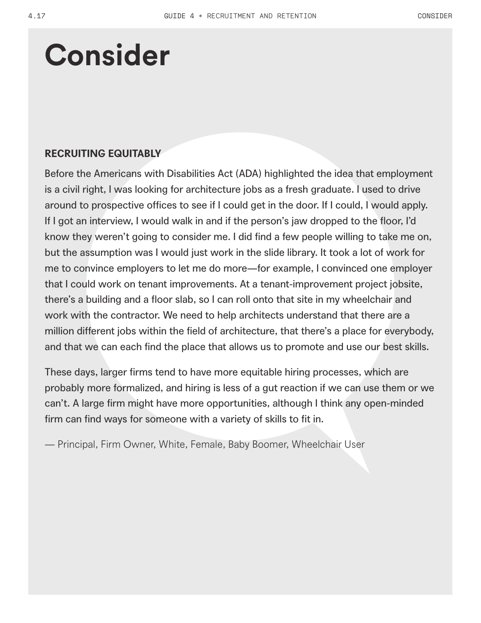## **Consider**

### **RECRUITING EQUITABLY**

Before the Americans with Disabilities Act (ADA) highlighted the idea that employment is a civil right, I was looking for architecture jobs as a fresh graduate. I used to drive around to prospective offices to see if I could get in the door. If I could, I would apply. If I got an interview, I would walk in and if the person's jaw dropped to the floor, I'd know they weren't going to consider me. I did find a few people willing to take me on, but the assumption was I would just work in the slide library. It took a lot of work for me to convince employers to let me do more—for example, I convinced one employer that I could work on tenant improvements. At a tenant-improvement project jobsite, there's a building and a floor slab, so I can roll onto that site in my wheelchair and work with the contractor. We need to help architects understand that there are a million different jobs within the field of architecture, that there's a place for everybody, and that we can each find the place that allows us to promote and use our best skills.

These days, larger firms tend to have more equitable hiring processes, which are probably more formalized, and hiring is less of a gut reaction if we can use them or we can't. A large firm might have more opportunities, although I think any open-minded firm can find ways for someone with a variety of skills to fit in.

— Principal, Firm Owner, White, Female, Baby Boomer, Wheelchair User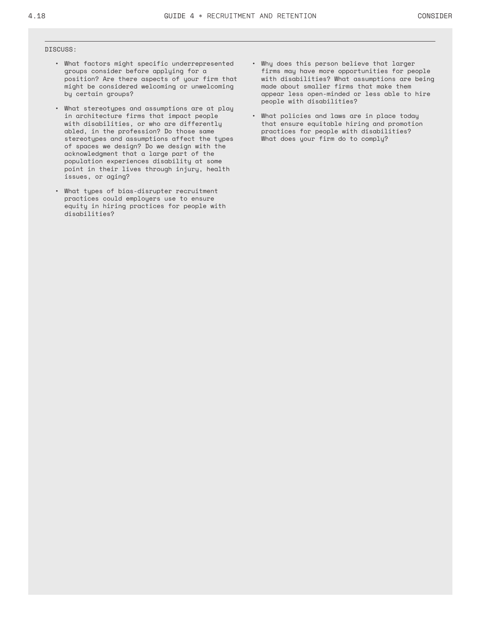#### DISCUSS:

- What factors might specific underrepresented groups consider before applying for a position? Are there aspects of your firm that might be considered welcoming or unwelcoming by certain groups?
- What stereotypes and assumptions are at play in architecture firms that impact people with disabilities, or who are differently abled, in the profession? Do those same stereotypes and assumptions affect the types of spaces we design? Do we design with the acknowledgment that a large part of the population experiences disability at some point in their lives through injury, health issues, or aging?
- What types of bias-disrupter recruitment practices could employers use to ensure equity in hiring practices for people with disabilities?
- Why does this person believe that larger firms may have more opportunities for people with disabilities? What assumptions are being made about smaller firms that make them appear less open-minded or less able to hire people with disabilities?
- What policies and laws are in place today that ensure equitable hiring and promotion practices for people with disabilities? What does your firm do to comply?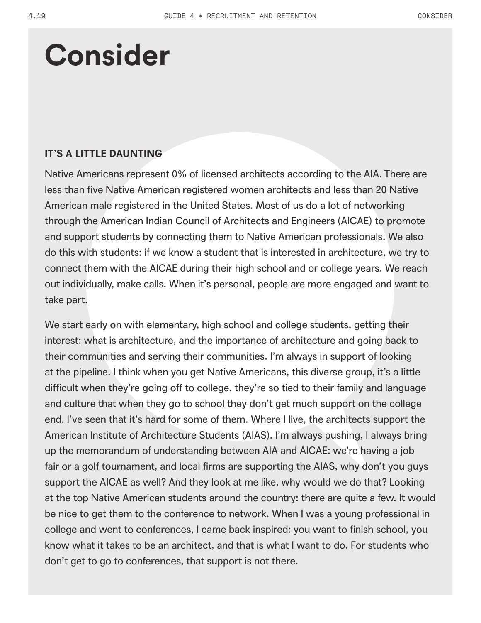## **Consider**

### **IT'S A LITTLE DAUNTING**

Native Americans represent 0% of licensed architects according to the AIA. There are less than five Native American registered women architects and less than 20 Native American male registered in the United States. Most of us do a lot of networking through the American Indian Council of Architects and Engineers (AICAE) to promote and support students by connecting them to Native American professionals. We also do this with students: if we know a student that is interested in architecture, we try to connect them with the AICAE during their high school and or college years. We reach out individually, make calls. When it's personal, people are more engaged and want to take part.

We start early on with elementary, high school and college students, getting their interest: what is architecture, and the importance of architecture and going back to their communities and serving their communities. I'm always in support of looking at the pipeline. I think when you get Native Americans, this diverse group, it's a little difficult when they're going off to college, they're so tied to their family and language and culture that when they go to school they don't get much support on the college end. I've seen that it's hard for some of them. Where I live, the architects support the American Institute of Architecture Students (AIAS). I'm always pushing, I always bring up the memorandum of understanding between AIA and AICAE: we're having a job fair or a golf tournament, and local firms are supporting the AIAS, why don't you guys support the AICAE as well? And they look at me like, why would we do that? Looking at the top Native American students around the country: there are quite a few. It would be nice to get them to the conference to network. When I was a young professional in college and went to conferences, I came back inspired: you want to finish school, you know what it takes to be an architect, and that is what I want to do. For students who don't get to go to conferences, that support is not there.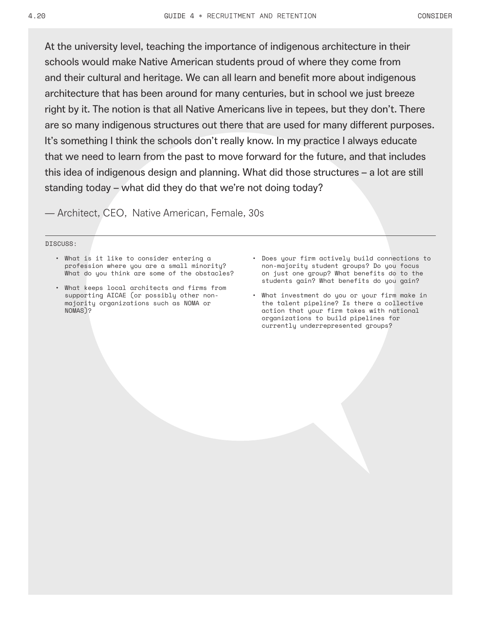At the university level, teaching the importance of indigenous architecture in their schools would make Native American students proud of where they come from and their cultural and heritage. We can all learn and benefit more about indigenous architecture that has been around for many centuries, but in school we just breeze right by it. The notion is that all Native Americans live in tepees, but they don't. There are so many indigenous structures out there that are used for many different purposes. It's something I think the schools don't really know. In my practice I always educate that we need to learn from the past to move forward for the future, and that includes this idea of indigenous design and planning. What did those structures – a lot are still standing today – what did they do that we're not doing today?

— Architect, CEO, Native American, Female, 30s

#### DISCUSS:

- What is it like to consider entering a profession where you are a small minority? What do you think are some of the obstacles?
- What keeps local architects and firms from supporting AICAE (or possibly other nonmajority organizations such as NOMA or NOMAS)?
- Does your firm actively build connections to non-majority student groups? Do you focus on just one group? What benefits do to the students gain? What benefits do you gain?
- What investment do you or your firm make in the talent pipeline? Is there a collective action that your firm takes with national organizations to build pipelines for currently underrepresented groups?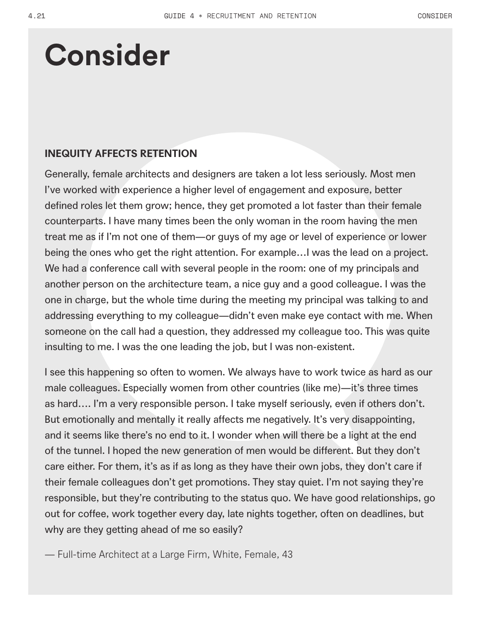### **Consider**

### **INEQUITY AFFECTS RETENTION**

Generally, female architects and designers are taken a lot less seriously. Most men I've worked with experience a higher level of engagement and exposure, better defined roles let them grow; hence, they get promoted a lot faster than their female counterparts. I have many times been the only woman in the room having the men treat me as if I'm not one of them—or guys of my age or level of experience or lower being the ones who get the right attention. For example…I was the lead on a project. We had a conference call with several people in the room: one of my principals and another person on the architecture team, a nice guy and a good colleague. I was the one in charge, but the whole time during the meeting my principal was talking to and addressing everything to my colleague—didn't even make eye contact with me. When someone on the call had a question, they addressed my colleague too. This was quite insulting to me. I was the one leading the job, but I was non-existent.

I see this happening so often to women. We always have to work twice as hard as our male colleagues. Especially women from other countries (like me)—it's three times as hard…. I'm a very responsible person. I take myself seriously, even if others don't. But emotionally and mentally it really affects me negatively. It's very disappointing, and it seems like there's no end to it. I wonder when will there be a light at the end of the tunnel. I hoped the new generation of men would be different. But they don't care either. For them, it's as if as long as they have their own jobs, they don't care if their female colleagues don't get promotions. They stay quiet. I'm not saying they're responsible, but they're contributing to the status quo. We have good relationships, go out for coffee, work together every day, late nights together, often on deadlines, but why are they getting ahead of me so easily?

— Full-time Architect at a Large Firm, White, Female, 43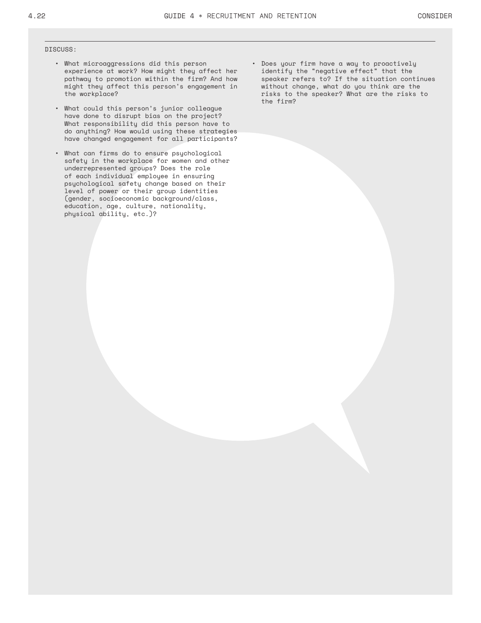#### DISCUSS:

- What microaggressions did this person experience at work? How might they affect her pathway to promotion within the firm? And how might they affect this person's engagement in the workplace?
- What could this person's junior colleague have done to disrupt bias on the project? What responsibility did this person have to do anything? How would using these strategies have changed engagement for all participants?
- What can firms do to ensure psychological safety in the workplace for women and other underrepresented groups? Does the role of each individual employee in ensuring psychological safety change based on their level of power or their group identities (gender, socioeconomic background/class, education, age, culture, nationality, physical ability, etc.)?
- Does your firm have a way to proactively identify the "negative effect" that the speaker refers to? If the situation continues without change, what do you think are the risks to the speaker? What are the risks to the firm?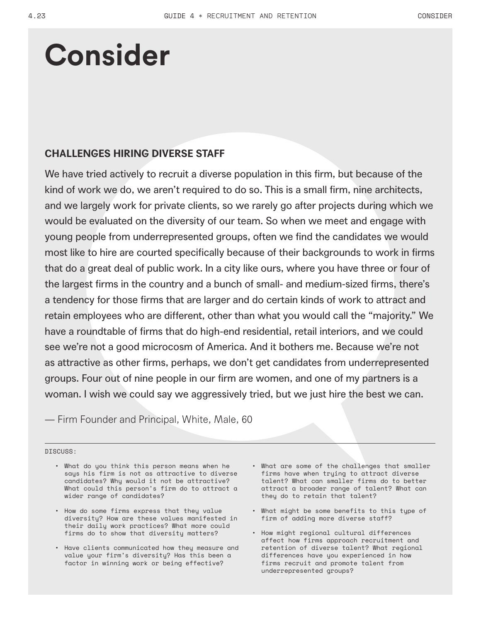### **Consider**

### **CHALLENGES HIRING DIVERSE STAFF**

We have tried actively to recruit a diverse population in this firm, but because of the kind of work we do, we aren't required to do so. This is a small firm, nine architects, and we largely work for private clients, so we rarely go after projects during which we would be evaluated on the diversity of our team. So when we meet and engage with young people from underrepresented groups, often we find the candidates we would most like to hire are courted specifically because of their backgrounds to work in firms that do a great deal of public work. In a city like ours, where you have three or four of the largest firms in the country and a bunch of small- and medium-sized firms, there's a tendency for those firms that are larger and do certain kinds of work to attract and retain employees who are different, other than what you would call the "majority." We have a roundtable of firms that do high-end residential, retail interiors, and we could see we're not a good microcosm of America. And it bothers me. Because we're not as attractive as other firms, perhaps, we don't get candidates from underrepresented groups. Four out of nine people in our firm are women, and one of my partners is a woman. I wish we could say we aggressively tried, but we just hire the best we can.

— Firm Founder and Principal, White, Male, 60

DISCUSS:

- What do you think this person means when he says his firm is not as attractive to diverse candidates? Why would it not be attractive? What could this person's firm do to attract a wider range of candidates?
- How do some firms express that they value diversity? How are these values manifested in their daily work practices? What more could firms do to show that diversity matters?
- Have clients communicated how they measure and value your firm's diversity? Has this been a factor in winning work or being effective?
- What are some of the challenges that smaller firms have when trying to attract diverse talent? What can smaller firms do to better attract a broader range of talent? What can they do to retain that talent?
- What might be some benefits to this type of firm of adding more diverse staff?
- How might regional cultural differences affect how firms approach recruitment and retention of diverse talent? What regional differences have you experienced in how firms recruit and promote talent from underrepresented groups?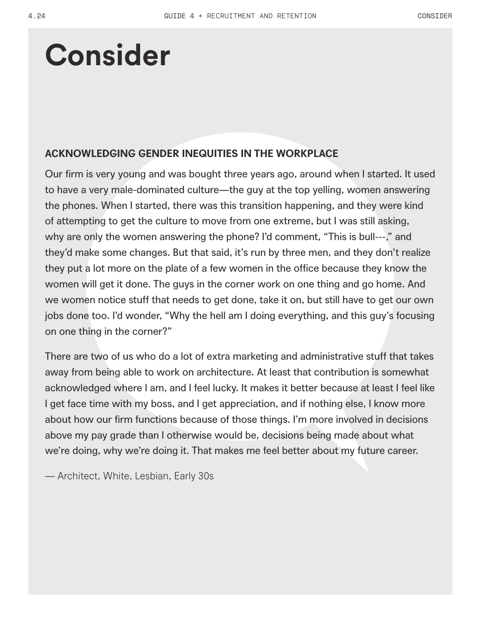### **Consider**

### **ACKNOWLEDGING GENDER INEQUITIES IN THE WORKPLACE**

Our firm is very young and was bought three years ago, around when I started. It used to have a very male-dominated culture—the guy at the top yelling, women answering the phones. When I started, there was this transition happening, and they were kind of attempting to get the culture to move from one extreme, but I was still asking, why are only the women answering the phone? I'd comment, "This is bull---," and they'd make some changes. But that said, it's run by three men, and they don't realize they put a lot more on the plate of a few women in the office because they know the women will get it done. The guys in the corner work on one thing and go home. And we women notice stuff that needs to get done, take it on, but still have to get our own jobs done too. I'd wonder, "Why the hell am I doing everything, and this guy's focusing on one thing in the corner?"

There are two of us who do a lot of extra marketing and administrative stuff that takes away from being able to work on architecture. At least that contribution is somewhat acknowledged where I am, and I feel lucky. It makes it better because at least I feel like I get face time with my boss, and I get appreciation, and if nothing else, I know more about how our firm functions because of those things. I'm more involved in decisions above my pay grade than I otherwise would be, decisions being made about what we're doing, why we're doing it. That makes me feel better about my future career.

— Architect, White, Lesbian, Early 30s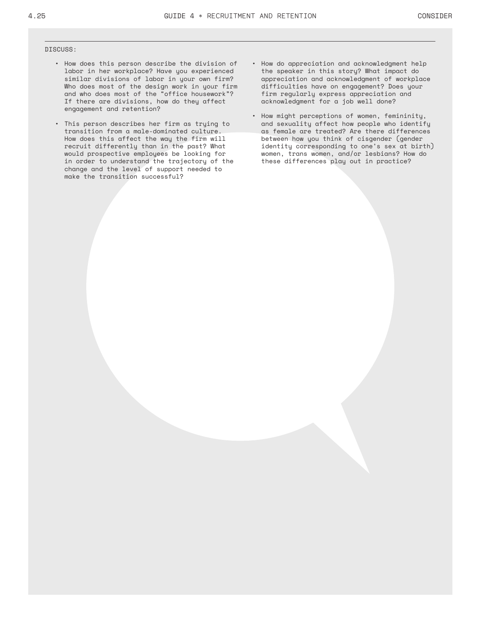#### DISCUSS:

- How does this person describe the division of labor in her workplace? Have you experienced similar divisions of labor in your own firm? Who does most of the design work in your firm and who does most of the "office housework"? If there are divisions, how do they affect engagement and retention?
- This person describes her firm as trying to transition from a male-dominated culture. How does this affect the way the firm will recruit differently than in the past? What would prospective employees be looking for in order to understand the trajectory of the change and the level of support needed to make the transition successful?
- How do appreciation and acknowledgment help the speaker in this story? What impact do appreciation and acknowledgment of workplace difficulties have on engagement? Does your firm regularly express appreciation and acknowledgment for a job well done?
- How might perceptions of women, femininity, and sexuality affect how people who identify as female are treated? Are there differences between how you think of cisgender (gender identity corresponding to one's sex at birth) women, trans women, and/or lesbians? How do these differences play out in practice?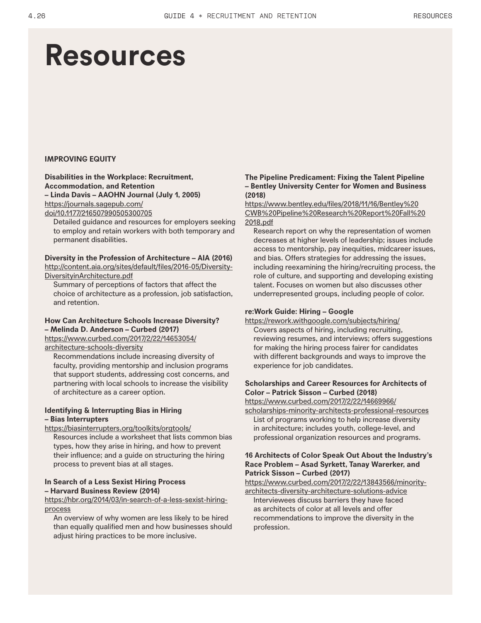### **Resources**

#### **IMPROVING EQUITY**

#### **Disabilities in the Workplace: Recruitment, Accommodation, and Retention – Linda Davis – AAOHN Journal (July 1, 2005)**  https://journals.sagepub.com/ doi/10.1177/216507990505300705

Detailed guidance and resources for employers seeking to employ and retain workers with both temporary and permanent disabilities.

#### **Diversity in the Profession of Architecture – AIA (2016)** http://content.aia.org/sites/default/files/2016-05/Diversity-DiversityinArchitecture.pdf

Summary of perceptions of factors that affect the choice of architecture as a profession, job satisfaction, and retention.

#### **How Can Architecture Schools Increase Diversity? – Melinda D. Anderson – Curbed (2017)**  https://www.curbed.com/2017/2/22/14653054/

architecture-schools-diversity

Recommendations include increasing diversity of faculty, providing mentorship and inclusion programs that support students, addressing cost concerns, and partnering with local schools to increase the visibility of architecture as a career option.

#### **Identifying & Interrupting Bias in Hiring – Bias Interrupters**

https://biasinterrupters.org/toolkits/orgtools/

Resources include a worksheet that lists common bias types, how they arise in hiring, and how to prevent their influence; and a guide on structuring the hiring process to prevent bias at all stages.

#### **In Search of a Less Sexist Hiring Process – Harvard Business Review (2014)**

https://hbr.org/2014/03/in-search-of-a-less-sexist-hiringprocess

An overview of why women are less likely to be hired than equally qualified men and how businesses should adjust hiring practices to be more inclusive.

#### **The Pipeline Predicament: Fixing the Talent Pipeline – Bentley University Center for Women and Business (2018)**

https://www.bentley.edu/files/2018/11/16/Bentley%20 CWB%20Pipeline%20Research%20Report%20Fall%20 2018.pdf

Research report on why the representation of women decreases at higher levels of leadership; issues include access to mentorship, pay inequities, midcareer issues, and bias. Offers strategies for addressing the issues, including reexamining the hiring/recruiting process, the role of culture, and supporting and developing existing talent. Focuses on women but also discusses other underrepresented groups, including people of color.

#### **re:Work Guide: Hiring – Google**

https://rework.withgoogle.com/subjects/hiring/

Covers aspects of hiring, including recruiting, reviewing resumes, and interviews; offers suggestions for making the hiring process fairer for candidates with different backgrounds and ways to improve the experience for job candidates.

#### **Scholarships and Career Resources for Architects of Color – Patrick Sisson – Curbed (2018)**

https://www.curbed.com/2017/2/22/14669966/

scholarships-minority-architects-professional-resources List of programs working to help increase diversity in architecture; includes youth, college-level, and professional organization resources and programs.

#### **16 Architects of Color Speak Out About the Industry's Race Problem – Asad Syrkett, Tanay Warerker, and Patrick Sisson – Curbed (2017)**

https://www.curbed.com/2017/2/22/13843566/minorityarchitects-diversity-architecture-solutions-advice

Interviewees discuss barriers they have faced as architects of color at all levels and offer recommendations to improve the diversity in the profession.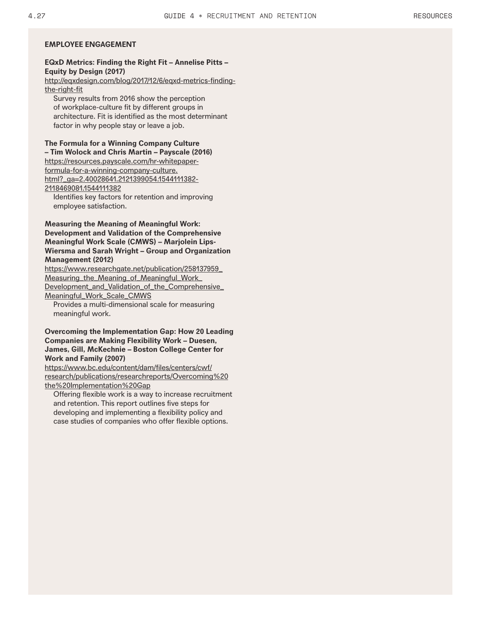#### **EQxD Metrics: Finding the Right Fit – Annelise Pitts – Equity by Design (2017)**

http://eqxdesign.com/blog/2017/12/6/eqxd-metrics-findingthe-right-fit

Survey results from 2016 show the perception of workplace-culture fit by different groups in architecture. Fit is identified as the most determinant factor in why people stay or leave a job.

**The Formula for a Winning Company Culture – Tim Wolock and Chris Martin – Payscale (2016)**

https://resources.payscale.com/hr-whitepaperformula-for-a-winning-company-culture.

html?\_ga=2.40028641.2121399054.1544111382-

2118469081.1544111382

Identifies key factors for retention and improving employee satisfaction.

#### **Measuring the Meaning of Meaningful Work: Development and Validation of the Comprehensive Meaningful Work Scale (CMWS) – Marjolein Lips-Wiersma and Sarah Wright – Group and Organization Management (2012)**

https://www.researchgate.net/publication/258137959\_ Measuring\_the\_Meaning\_of\_Meaningful\_Work\_ Development\_and\_Validation\_of\_the\_Comprehensive\_ Meaningful\_Work\_Scale\_CMWS

Provides a multi-dimensional scale for measuring meaningful work.

#### **Overcoming the Implementation Gap: How 20 Leading Companies are Making Flexibility Work – Duesen, James, Gill, McKechnie – Boston College Center for Work and Family (2007)**

https://www.bc.edu/content/dam/files/centers/cwf/ research/publications/researchreports/Overcoming%20 the%20Implementation%20Gap

Offering flexible work is a way to increase recruitment and retention. This report outlines five steps for developing and implementing a flexibility policy and case studies of companies who offer flexible options.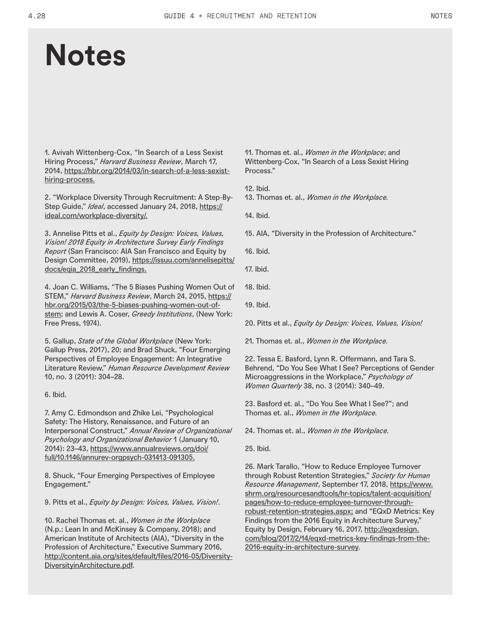### **Notes**

1. Avivah Wittenberg-Cox, "In Search of a Less Sexist Hiring Process," *Harvard Business Review*, March 17, 2014, https://hbr.org/2014/03/in-search-of-a-less-sexisthiring-process.

2. "Workplace Diversity Through Recruitment: A Step-By-Step Guide," *Ideal*, accessed January 24, 2018, https:// ideal.com/workplace-diversity/.

3. Annelise Pitts et al., *Equity by Design: Voices, Values, Vision! 2018 Equity in Architecture Survey Early Findings Report* (San Francisco: AIA San Francisco and Equity by Design Committee, 2019), https://issuu.com/annelisepitts/ docs/eqia\_2018\_early\_findings.

4. Joan C. Williams, "The 5 Biases Pushing Women Out of STEM," *Harvard Business Review*, March 24, 2015, https:// hbr.org/2015/03/the-5-biases-pushing-women-out-ofstem; and Lewis A. Coser, *Greedy Institutions*, (New York: Free Press, 1974).

5. Gallup, *State of the Global Workplace* (New York: Gallup Press, 2017), 20; and Brad Shuck, "Four Emerging Perspectives of Employee Engagement: An Integrative Literature Review," *Human Resource Development Review* 10, no. 3 (2011): 304–28.

6. Ibid.

7. Amy C. Edmondson and Zhike Lei, "Psychological Safety: The History, Renaissance, and Future of an Interpersonal Construct," *Annual Review of Organizational Psychology and Organizational Behavior* 1 (January 10, 2014): 23–43, https://www.annualreviews.org/doi/ full/10.1146/annurev-orgpsych-031413-091305.

8. Shuck, "Four Emerging Perspectives of Employee Engagement."

9. Pitts et al., *Equity by Design: Voices, Values, Vision!*.

10. Rachel Thomas et. al., *Women in the Workplace* (N.p.: Lean In and McKinsey & Company, 2018); and American Institute of Architects (AIA), "Diversity in the Profession of Architecture," Executive Summary 2016, http://content.aia.org/sites/default/files/2016-05/Diversity-DiversityinArchitecture.pdf.

11. Thomas et. al., *Women in the Workplace*; and Wittenberg-Cox, "In Search of a Less Sexist Hiring Process."

12. Ibid.

13. Thomas et. al., *Women in the Workplace.*

14. Ibid.

15. AIA, "Diversity in the Profession of Architecture."

16. Ibid.

17. Ibid.

- 18. Ibid.
- 19. Ibid.

20. Pitts et al., *Equity by Design: Voices, Values, Vision!*

21. Thomas et. al., *Women in the Workplace.*

22. Tessa E. Basford, Lynn R. Offermann, and Tara S. Behrend, "Do You See What I See? Perceptions of Gender Microaggressions in the Workplace," *Psychology of Women Quarterly* 38, no. 3 (2014): 340–49.

23. Basford et. al., "Do You See What I See?"; and Thomas et. al., *Women in the Workplace.*

24. Thomas et. al., *Women in the Workplace.*

25. Ibid.

26. Mark Tarallo, "How to Reduce Employee Turnover through Robust Retention Strategies," *Society for Human Resource Management*, September 17, 2018, https://www. shrm.org/resourcesandtools/hr-topics/talent-acquisition/ pages/how-to-reduce-employee-turnover-throughrobust-retention-strategies.aspx; and "EQxD Metrics: Key Findings from the 2016 Equity in Architecture Survey," Equity by Design, February 16, 2017, http://eqxdesign. com/blog/2017/2/14/eqxd-metrics-key-findings-from-the-2016-equity-in-architecture-survey.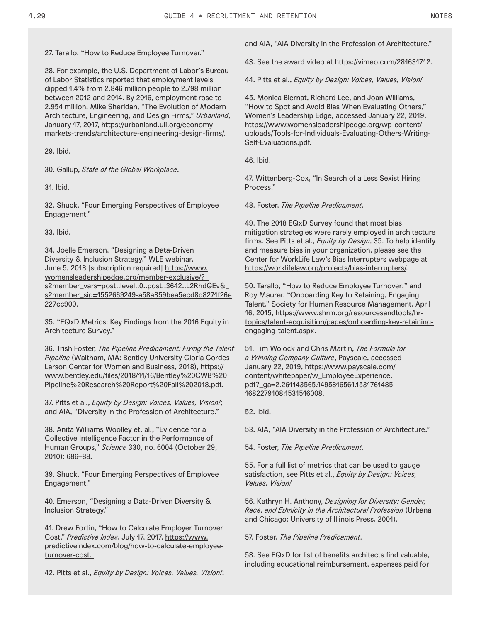27. Tarallo, "How to Reduce Employee Turnover."

28. For example, the U.S. Department of Labor's Bureau of Labor Statistics reported that employment levels dipped 1.4% from 2.846 million people to 2.798 million between 2012 and 2014. By 2016, employment rose to 2.954 million. Mike Sheridan, "The Evolution of Modern Architecture, Engineering, and Design Firms," *Urbanland*, January 17, 2017, https://urbanland.uli.org/economymarkets-trends/architecture-engineering-design-firms/.

29. Ibid.

30. Gallup, *State of the Global Workplace*.

31. Ibid.

32. Shuck, "Four Emerging Perspectives of Employee Engagement."

33. Ibid.

34. Joelle Emerson, "Designing a Data-Driven Diversity & Inclusion Strategy," WLE webinar, June 5, 2018 [subscription required] https://www. womensleadershipedge.org/member-exclusive/?\_ s2member\_vars=post..level..0..post..3642..L2RhdGEv&\_ s2member\_sig=1552669249-a58a859bea5ecd8d8271f26e 227cc900.

35. "EQxD Metrics: Key Findings from the 2016 Equity in Architecture Survey."

36. Trish Foster, *The Pipeline Predicament: Fixing the Talent Pipeline* (Waltham, MA: Bentley University Gloria Cordes Larson Center for Women and Business, 2018), https:// www.bentley.edu/files/2018/11/16/Bentley%20CWB%20 Pipeline%20Research%20Report%20Fall%202018.pdf.

37. Pitts et al., *Equity by Design: Voices, Values, Vision!*; and AIA, "Diversity in the Profession of Architecture."

38. Anita Williams Woolley et. al., "Evidence for a Collective Intelligence Factor in the Performance of Human Groups," *Science* 330, no. 6004 (October 29, 2010): 686–88.

39. Shuck, "Four Emerging Perspectives of Employee Engagement."

40. Emerson, "Designing a Data-Driven Diversity & Inclusion Strategy."

41. Drew Fortin, "How to Calculate Employer Turnover Cost," *Predictive Index*, July 17, 2017, https://www. predictiveindex.com/blog/how-to-calculate-employeeturnover-cost.

42. Pitts et al., *Equity by Design: Voices, Values, Vision!*;

and AIA, "AIA Diversity in the Profession of Architecture."

43. See the award video at https://vimeo.com/281631712.

44. Pitts et al., *Equity by Design: Voices, Values, Vision!*

45. Monica Biernat, Richard Lee, and Joan Williams, "How to Spot and Avoid Bias When Evaluating Others," Women's Leadership Edge, accessed January 22, 2019, https://www.womensleadershipedge.org/wp-content/ uploads/Tools-for-Individuals-Evaluating-Others-Writing-Self-Evaluations.pdf.

46. Ibid.

47. Wittenberg-Cox, "In Search of a Less Sexist Hiring Process."

48. Foster, *The Pipeline Predicament*.

49. The 2018 EQxD Survey found that most bias mitigation strategies were rarely employed in architecture firms. See Pitts et al., *Equity by Design*, 35. To help identify and measure bias in your organization, please see the Center for WorkLife Law's Bias Interrupters webpage at https://worklifelaw.org/projects/bias-interrupters/.

50. Tarallo, "How to Reduce Employee Turnover;" and Roy Maurer, "Onboarding Key to Retaining, Engaging Talent," Society for Human Resource Management, April 16, 2015, https://www.shrm.org/resourcesandtools/hrtopics/talent-acquisition/pages/onboarding-key-retainingengaging-talent.aspx.

51. Tim Wolock and Chris Martin, *The Formula for a Winning Company Culture*, Payscale, accessed January 22, 2019, https://www.payscale.com/ content/whitepaper/w\_EmployeeExperience. pdf?\_ga=2.261143565.1495816561.1531761485- 1682279108.1531516008.

52. Ibid.

53. AIA, "AIA Diversity in the Profession of Architecture."

54. Foster, *The Pipeline Predicament*.

55. For a full list of metrics that can be used to gauge satisfaction, see Pitts et al., *Equity by Design: Voices, Values, Vision!*

56. Kathryn H. Anthony, *Designing for Diversity: Gender, Race, and Ethnicity in the Architectural Profession* (Urbana and Chicago: University of Illinois Press, 2001).

#### 57. Foster, *The Pipeline Predicament*.

58. See EQxD for list of benefits architects find valuable, including educational reimbursement, expenses paid for